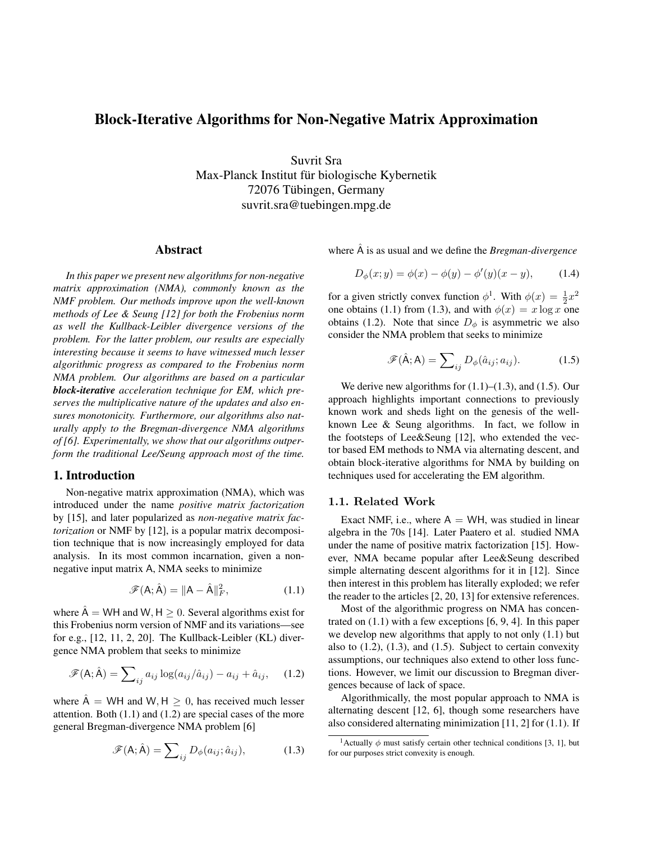# Block-Iterative Algorithms for Non-Negative Matrix Approximation

Suvrit Sra Max-Planck Institut für biologische Kybernetik 72076 Tubingen, Germany ¨ suvrit.sra@tuebingen.mpg.de

### Abstract

*In this paper we present new algorithms for non-negative matrix approximation (NMA), commonly known as the NMF problem. Our methods improve upon the well-known methods of Lee & Seung [12] for both the Frobenius norm as well the Kullback-Leibler divergence versions of the problem. For the latter problem, our results are especially interesting because it seems to have witnessed much lesser algorithmic progress as compared to the Frobenius norm NMA problem. Our algorithms are based on a particular block-iterative acceleration technique for EM, which preserves the multiplicative nature of the updates and also ensures monotonicity. Furthermore, our algorithms also naturally apply to the Bregman-divergence NMA algorithms of [6]. Experimentally, we show that our algorithms outperform the traditional Lee/Seung approach most of the time.*

## 1. Introduction

Non-negative matrix approximation (NMA), which was introduced under the name *positive matrix factorization* by [15], and later popularized as *non-negative matrix factorization* or NMF by [12], is a popular matrix decomposition technique that is now increasingly employed for data analysis. In its most common incarnation, given a nonnegative input matrix A, NMA seeks to minimize

$$
\mathscr{F}(\mathsf{A}; \hat{\mathsf{A}}) = \|\mathsf{A} - \hat{\mathsf{A}}\|_{F}^{2},\tag{1.1}
$$

where  $\hat{A}$  = WH and W, H  $> 0$ . Several algorithms exist for this Frobenius norm version of NMF and its variations—see for e.g., [12, 11, 2, 20]. The Kullback-Leibler (KL) divergence NMA problem that seeks to minimize

$$
\mathscr{F}(\mathsf{A}; \hat{\mathsf{A}}) = \sum_{ij} a_{ij} \log(a_{ij}/\hat{a}_{ij}) - a_{ij} + \hat{a}_{ij}, \quad (1.2)
$$

where  $\hat{A}$  = WH and W, H  $> 0$ , has received much lesser attention. Both  $(1.1)$  and  $(1.2)$  are special cases of the more general Bregman-divergence NMA problem [6]

$$
\mathscr{F}(\mathsf{A}; \hat{\mathsf{A}}) = \sum_{ij} D_{\phi}(a_{ij}; \hat{a}_{ij}), \tag{1.3}
$$

where  $\overline{A}$  is as usual and we define the *Bregman-divergence* 

$$
D_{\phi}(x; y) = \phi(x) - \phi(y) - \phi'(y)(x - y), \quad (1.4)
$$

for a given strictly convex function  $\phi^1$ . With  $\phi(x) = \frac{1}{2}x^2$ one obtains (1.1) from (1.3), and with  $\phi(x) = x \log x$  one obtains (1.2). Note that since  $D_{\phi}$  is asymmetric we also consider the NMA problem that seeks to minimize

$$
\mathscr{F}(\hat{\mathsf{A}};\mathsf{A})=\sum_{ij}D_{\phi}(\hat{a}_{ij};a_{ij}).\tag{1.5}
$$

We derive new algorithms for  $(1.1)$ – $(1.3)$ , and  $(1.5)$ . Our approach highlights important connections to previously known work and sheds light on the genesis of the wellknown Lee & Seung algorithms. In fact, we follow in the footsteps of Lee&Seung [12], who extended the vector based EM methods to NMA via alternating descent, and obtain block-iterative algorithms for NMA by building on techniques used for accelerating the EM algorithm.

### 1.1. Related Work

Exact NMF, i.e., where  $A = WH$ , was studied in linear algebra in the 70s [14]. Later Paatero et al. studied NMA under the name of positive matrix factorization [15]. However, NMA became popular after Lee&Seung described simple alternating descent algorithms for it in [12]. Since then interest in this problem has literally exploded; we refer the reader to the articles [2, 20, 13] for extensive references.

Most of the algorithmic progress on NMA has concentrated on (1.1) with a few exceptions [6, 9, 4]. In this paper we develop new algorithms that apply to not only (1.1) but also to  $(1.2)$ ,  $(1.3)$ , and  $(1.5)$ . Subject to certain convexity assumptions, our techniques also extend to other loss functions. However, we limit our discussion to Bregman divergences because of lack of space.

Algorithmically, the most popular approach to NMA is alternating descent [12, 6], though some researchers have also considered alternating minimization [11, 2] for (1.1). If

<sup>&</sup>lt;sup>1</sup> Actually  $\phi$  must satisfy certain other technical conditions [3, 1], but for our purposes strict convexity is enough.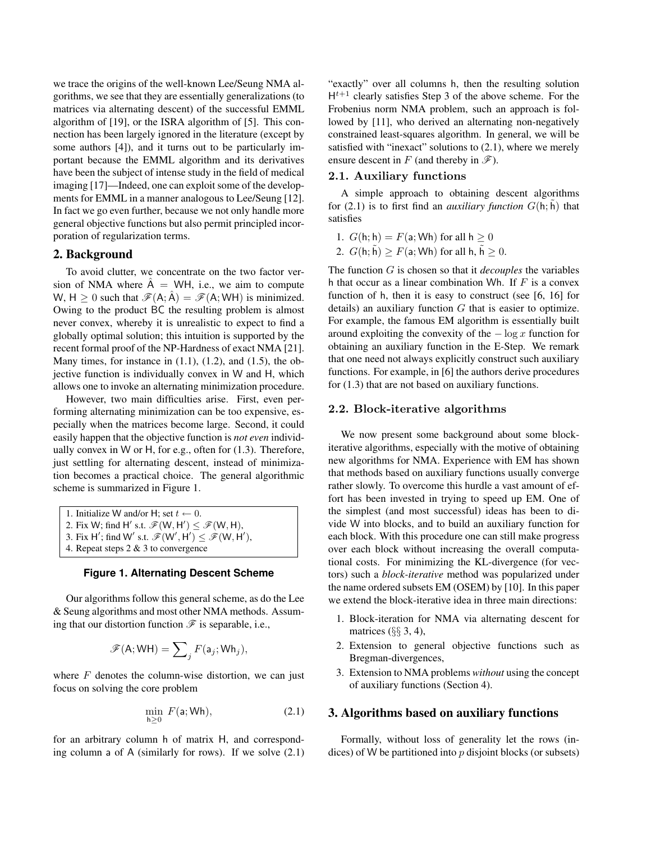we trace the origins of the well-known Lee/Seung NMA algorithms, we see that they are essentially generalizations (to matrices via alternating descent) of the successful EMML algorithm of [19], or the ISRA algorithm of [5]. This connection has been largely ignored in the literature (except by some authors [4]), and it turns out to be particularly important because the EMML algorithm and its derivatives have been the subject of intense study in the field of medical imaging [17]—Indeed, one can exploit some of the developments for EMML in a manner analogous to Lee/Seung [12]. In fact we go even further, because we not only handle more general objective functions but also permit principled incorporation of regularization terms.

## 2. Background

To avoid clutter, we concentrate on the two factor version of NMA where  $A = WH$ , i.e., we aim to compute W, H  $\geq$  0 such that  $\mathscr{F}(A; \hat{A}) = \mathscr{F}(A; WH)$  is minimized. Owing to the product BC the resulting problem is almost never convex, whereby it is unrealistic to expect to find a globally optimal solution; this intuition is supported by the recent formal proof of the NP-Hardness of exact NMA [21]. Many times, for instance in  $(1.1)$ ,  $(1.2)$ , and  $(1.5)$ , the objective function is individually convex in W and H, which allows one to invoke an alternating minimization procedure.

However, two main difficulties arise. First, even performing alternating minimization can be too expensive, especially when the matrices become large. Second, it could easily happen that the objective function is *not even* individually convex in W or H, for e.g., often for (1.3). Therefore, just settling for alternating descent, instead of minimization becomes a practical choice. The general algorithmic scheme is summarized in Figure 1.

1. Initialize W and/or H; set  $t \leftarrow 0$ . 2. Fix W; find H' s.t.  $\mathscr{F}(W, H') \leq \mathscr{F}(W, H)$ , 3. Fix H'; find W' s.t.  $\mathscr{F}(W', H') \leq \mathscr{F}(W, H'),$ 4. Repeat steps 2 & 3 to convergence

#### **Figure 1. Alternating Descent Scheme**

Our algorithms follow this general scheme, as do the Lee & Seung algorithms and most other NMA methods. Assuming that our distortion function  $\mathscr F$  is separable, i.e.,

$$
\mathscr{F}(\mathsf{A}; \mathsf{W}\mathsf{H}) = \sum\nolimits_{j} F(\mathsf{a}_j; \mathsf{W}\mathsf{h}_j),
$$

where  $F$  denotes the column-wise distortion, we can just focus on solving the core problem

$$
\min_{h \ge 0} F(a; \mathsf{Wh}),\tag{2.1}
$$

for an arbitrary column h of matrix H, and corresponding column a of A (similarly for rows). If we solve (2.1) "exactly" over all columns h, then the resulting solution  $H^{t+1}$  clearly satisfies Step 3 of the above scheme. For the Frobenius norm NMA problem, such an approach is followed by [11], who derived an alternating non-negatively constrained least-squares algorithm. In general, we will be satisfied with "inexact" solutions to  $(2.1)$ , where we merely ensure descent in F (and thereby in  $\mathscr{F}$ ).

## 2.1. Auxiliary functions

A simple approach to obtaining descent algorithms for (2.1) is to first find an *auxiliary function*  $G(h, \tilde{h})$  that satisfies

- 1.  $G(h; h) = F(a; Wh)$  for all  $h \geq 0$
- 2.  $G(h; \tilde{h}) \geq F(a; \mathsf{Wh})$  for all  $h, \tilde{h} \geq 0$ .

The function G is chosen so that it *decouples* the variables h that occur as a linear combination Wh. If  $F$  is a convex function of h, then it is easy to construct (see [6, 16] for details) an auxiliary function  $G$  that is easier to optimize. For example, the famous EM algorithm is essentially built around exploiting the convexity of the  $-\log x$  function for obtaining an auxiliary function in the E-Step. We remark that one need not always explicitly construct such auxiliary functions. For example, in [6] the authors derive procedures for (1.3) that are not based on auxiliary functions.

#### 2.2. Block-iterative algorithms

We now present some background about some blockiterative algorithms, especially with the motive of obtaining new algorithms for NMA. Experience with EM has shown that methods based on auxiliary functions usually converge rather slowly. To overcome this hurdle a vast amount of effort has been invested in trying to speed up EM. One of the simplest (and most successful) ideas has been to divide W into blocks, and to build an auxiliary function for each block. With this procedure one can still make progress over each block without increasing the overall computational costs. For minimizing the KL-divergence (for vectors) such a *block-iterative* method was popularized under the name ordered subsets EM (OSEM) by [10]. In this paper we extend the block-iterative idea in three main directions:

- 1. Block-iteration for NMA via alternating descent for matrices  $(\S$ § 3, 4),
- 2. Extension to general objective functions such as Bregman-divergences,
- 3. Extension to NMA problems *without* using the concept of auxiliary functions (Section 4).

## 3. Algorithms based on auxiliary functions

Formally, without loss of generality let the rows (indices) of W be partitioned into  $p$  disjoint blocks (or subsets)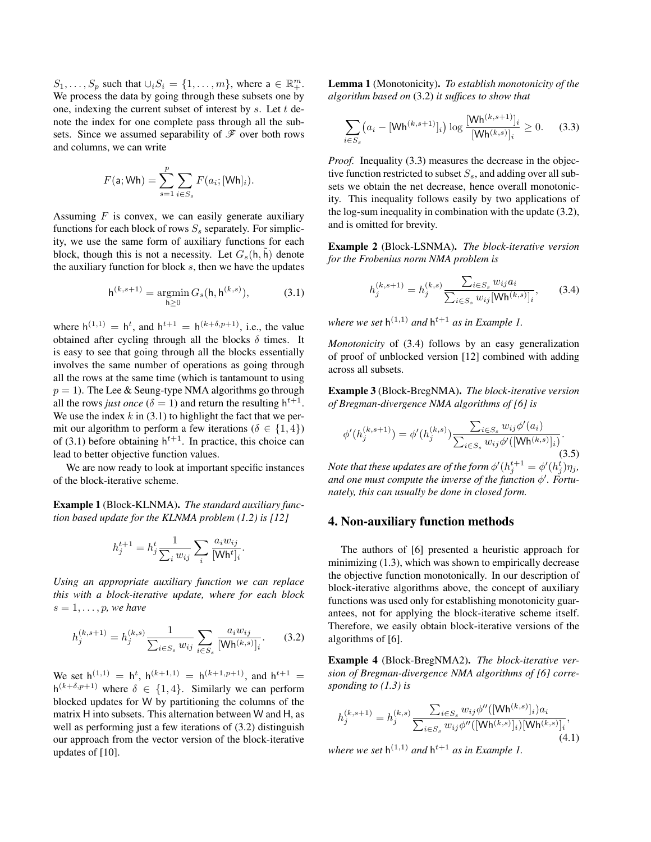$S_1, \ldots, S_p$  such that  $\cup_i S_i = \{1, \ldots, m\}$ , where  $a \in \mathbb{R}^m_+$ . We process the data by going through these subsets one by one, indexing the current subset of interest by  $s$ . Let  $t$  denote the index for one complete pass through all the subsets. Since we assumed separability of  $\mathscr F$  over both rows and columns, we can write

$$
F(\mathsf{a}; \mathsf{Wh}) = \sum_{s=1}^{p} \sum_{i \in S_s} F(a_i; [\mathsf{Wh}]_i).
$$

Assuming  $F$  is convex, we can easily generate auxiliary functions for each block of rows  $S<sub>s</sub>$  separately. For simplicity, we use the same form of auxiliary functions for each block, though this is not a necessity. Let  $G_s(h, \tilde{h})$  denote the auxiliary function for block  $s$ , then we have the updates

$$
\mathsf{h}^{(k,s+1)} = \operatorname*{argmin}_{\mathsf{h} \ge 0} G_s(\mathsf{h}, \mathsf{h}^{(k,s)}),\tag{3.1}
$$

where  $h^{(1,1)} = h^t$ , and  $h^{t+1} = h^{(k+\delta,p+1)}$ , i.e., the value obtained after cycling through all the blocks  $\delta$  times. It is easy to see that going through all the blocks essentially involves the same number of operations as going through all the rows at the same time (which is tantamount to using  $p = 1$ ). The Lee & Seung-type NMA algorithms go through all the rows *just once* ( $\delta = 1$ ) and return the resulting  $h^{t+1}$ . We use the index  $k$  in (3.1) to highlight the fact that we permit our algorithm to perform a few iterations ( $\delta \in \{1, 4\}$ ) of (3.1) before obtaining  $h^{t+1}$ . In practice, this choice can lead to better objective function values.

We are now ready to look at important specific instances of the block-iterative scheme.

Example 1 (Block-KLNMA). *The standard auxiliary function based update for the KLNMA problem (1.2) is [12]*

$$
h_j^{t+1} = h_j^t \frac{1}{\sum_i w_{ij}} \sum_i \frac{a_i w_{ij}}{[\mathsf{Wh}^t]_i}.
$$

*Using an appropriate auxiliary function we can replace this with a block-iterative update, where for each block*  $s = 1, \ldots, p$ *, we have* 

$$
h_j^{(k,s+1)} = h_j^{(k,s)} \frac{1}{\sum_{i \in S_s} w_{ij}} \sum_{i \in S_s} \frac{a_i w_{ij}}{[\mathsf{Wh}^{(k,s)}]_i}.
$$
 (3.2)

We set  $h^{(1,1)} = h^t$ ,  $h^{(k+1,1)} = h^{(k+1,p+1)}$ , and  $h^{t+1} =$  $h^{(k+\delta,p+1)}$  where  $\delta \in \{1,4\}$ . Similarly we can perform blocked updates for W by partitioning the columns of the matrix H into subsets. This alternation between W and H, as well as performing just a few iterations of  $(3.2)$  distinguish our approach from the vector version of the block-iterative updates of [10].

Lemma 1 (Monotonicity). *To establish monotonicity of the algorithm based on* (3.2) *it suffices to show that*

$$
\sum_{i \in S_s} \left( a_i - [\mathsf{Wh}^{(k,s+1)}]_i \right) \log \frac{[\mathsf{Wh}^{(k,s+1)}]_i}{[\mathsf{Wh}^{(k,s)}]_i} \ge 0. \tag{3.3}
$$

*Proof.* Inequality (3.3) measures the decrease in the objective function restricted to subset  $S_s$ , and adding over all subsets we obtain the net decrease, hence overall monotonicity. This inequality follows easily by two applications of the log-sum inequality in combination with the update (3.2), and is omitted for brevity.

Example 2 (Block-LSNMA). *The block-iterative version for the Frobenius norm NMA problem is*

$$
h_j^{(k,s+1)} = h_j^{(k,s)} \frac{\sum_{i \in S_s} w_{ij} a_i}{\sum_{i \in S_s} w_{ij} [\mathsf{Wh}^{(k,s)}]_i},\qquad(3.4)
$$

where we set  $h^{(1,1)}$  and  $h^{t+1}$  as in Example 1.

*Monotonicity* of (3.4) follows by an easy generalization of proof of unblocked version [12] combined with adding across all subsets.

Example 3 (Block-BregNMA). *The block-iterative version of Bregman-divergence NMA algorithms of [6] is*

$$
\phi'(h_j^{(k,s+1)}) = \phi'(h_j^{(k,s)}) \frac{\sum_{i \in S_s} w_{ij} \phi'(a_i)}{\sum_{i \in S_s} w_{ij} \phi'([\mathsf{Wh}^{(k,s)}]_i)}.
$$
\n(3.5)

Note that these updates are of the form  $\phi'(h^{t+1}_j = \phi'(h^t_j) \eta_j,$ and one must compute the inverse of the function  $\phi'$ . Fortu*nately, this can usually be done in closed form.*

## 4. Non-auxiliary function methods

The authors of [6] presented a heuristic approach for minimizing (1.3), which was shown to empirically decrease the objective function monotonically. In our description of block-iterative algorithms above, the concept of auxiliary functions was used only for establishing monotonicity guarantees, not for applying the block-iterative scheme itself. Therefore, we easily obtain block-iterative versions of the algorithms of [6].

Example 4 (Block-BregNMA2). *The block-iterative version of Bregman-divergence NMA algorithms of [6] corresponding to (1.3) is*

$$
h_j^{(k,s+1)} = h_j^{(k,s)} \frac{\sum_{i \in S_s} w_{ij} \phi''([\mathsf{Wh}^{(k,s)}]_i) a_i}{\sum_{i \in S_s} w_{ij} \phi''([\mathsf{Wh}^{(k,s)}]_i) [\mathsf{Wh}^{(k,s)}]_i},\tag{4.1}
$$

where we set  $h^{(1,1)}$  and  $h^{t+1}$  as in Example 1.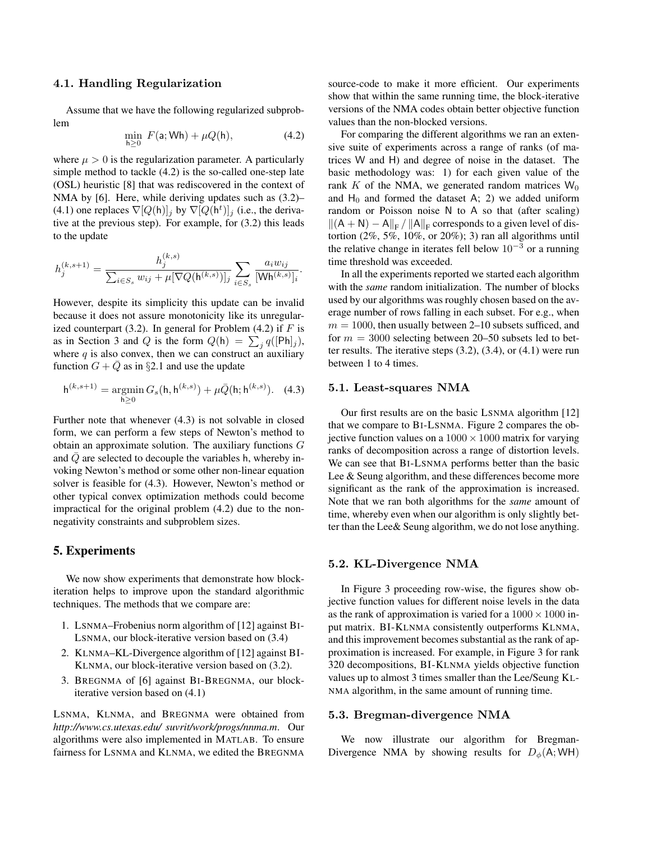#### 4.1. Handling Regularization

Assume that we have the following regularized subproblem

$$
\min_{h\geq 0} F(a; \mathsf{Wh}) + \mu Q(h), \tag{4.2}
$$

where  $\mu > 0$  is the regularization parameter. A particularly simple method to tackle (4.2) is the so-called one-step late (OSL) heuristic [8] that was rediscovered in the context of NMA by [6]. Here, while deriving updates such as (3.2)– (4.1) one replaces  $\nabla [Q(h)]_j$  by  $\nabla [Q(h^t)]_j$  (i.e., the derivative at the previous step). For example, for (3.2) this leads to the update

$$
h_j^{(k,s+1)} = \frac{h_j^{(k,s)}}{\sum_{i \in S_s} w_{ij} + \mu[\nabla Q(\mathsf{h}^{(k,s)})]_j} \sum_{i \in S_s} \frac{a_i w_{ij}}{|\mathsf{W}\mathsf{h}^{(k,s)}]_i}.
$$

However, despite its simplicity this update can be invalid because it does not assure monotonicity like its unregularized counterpart (3.2). In general for Problem (4.2) if  $F$  is as in Section 3 and Q is the form  $Q(h) = \sum_j q([Ph]_j)$ , where  $q$  is also convex, then we can construct an auxiliary function  $G + \overline{Q}$  as in §2.1 and use the update

$$
h^{(k,s+1)} = \underset{h \ge 0}{\text{argmin}} \, G_s(h, h^{(k,s)}) + \mu \bar{Q}(h; h^{(k,s)}). \tag{4.3}
$$

Further note that whenever (4.3) is not solvable in closed form, we can perform a few steps of Newton's method to obtain an approximate solution. The auxiliary functions G and  $\overline{Q}$  are selected to decouple the variables h, whereby invoking Newton's method or some other non-linear equation solver is feasible for (4.3). However, Newton's method or other typical convex optimization methods could become impractical for the original problem (4.2) due to the nonnegativity constraints and subproblem sizes.

## 5. Experiments

We now show experiments that demonstrate how blockiteration helps to improve upon the standard algorithmic techniques. The methods that we compare are:

- 1. LSNMA–Frobenius norm algorithm of [12] against BI-LSNMA, our block-iterative version based on (3.4)
- 2. KLNMA–KL-Divergence algorithm of [12] against BI-KLNMA, our block-iterative version based on (3.2).
- 3. BREGNMA of [6] against BI-BREGNMA, our blockiterative version based on (4.1)

LSNMA, KLNMA, and BREGNMA were obtained from *http://www.cs.utexas.edu/ suvrit/work/progs/nnma.m*. Our algorithms were also implemented in MATLAB. To ensure fairness for LSNMA and KLNMA, we edited the BREGNMA

source-code to make it more efficient. Our experiments show that within the same running time, the block-iterative versions of the NMA codes obtain better objective function values than the non-blocked versions.

For comparing the different algorithms we ran an extensive suite of experiments across a range of ranks (of matrices W and H) and degree of noise in the dataset. The basic methodology was: 1) for each given value of the rank K of the NMA, we generated random matrices  $W_0$ and  $H_0$  and formed the dataset A; 2) we added uniform random or Poisson noise N to A so that (after scaling)  $\|(A + N) - A\|_F / \|A\|_F$  corresponds to a given level of distortion (2%, 5%, 10%, or 20%); 3) ran all algorithms until the relative change in iterates fell below  $10^{-3}$  or a running time threshold was exceeded.

In all the experiments reported we started each algorithm with the *same* random initialization. The number of blocks used by our algorithms was roughly chosen based on the average number of rows falling in each subset. For e.g., when  $m = 1000$ , then usually between 2–10 subsets sufficed, and for  $m = 3000$  selecting between 20–50 subsets led to better results. The iterative steps (3.2), (3.4), or (4.1) were run between 1 to 4 times.

#### 5.1. Least-squares NMA

Our first results are on the basic LSNMA algorithm [12] that we compare to BI-LSNMA. Figure 2 compares the objective function values on a  $1000 \times 1000$  matrix for varying ranks of decomposition across a range of distortion levels. We can see that BI-LSNMA performs better than the basic Lee & Seung algorithm, and these differences become more significant as the rank of the approximation is increased. Note that we ran both algorithms for the *same* amount of time, whereby even when our algorithm is only slightly better than the Lee& Seung algorithm, we do not lose anything.

#### 5.2. KL-Divergence NMA

In Figure 3 proceeding row-wise, the figures show objective function values for different noise levels in the data as the rank of approximation is varied for a  $1000 \times 1000$  input matrix. BI-KLNMA consistently outperforms KLNMA, and this improvement becomes substantial as the rank of approximation is increased. For example, in Figure 3 for rank 320 decompositions, BI-KLNMA yields objective function values up to almost 3 times smaller than the Lee/Seung KL-NMA algorithm, in the same amount of running time.

#### 5.3. Bregman-divergence NMA

We now illustrate our algorithm for Bregman-Divergence NMA by showing results for  $D_{\phi}(\mathsf{A}; \mathsf{W}\mathsf{H})$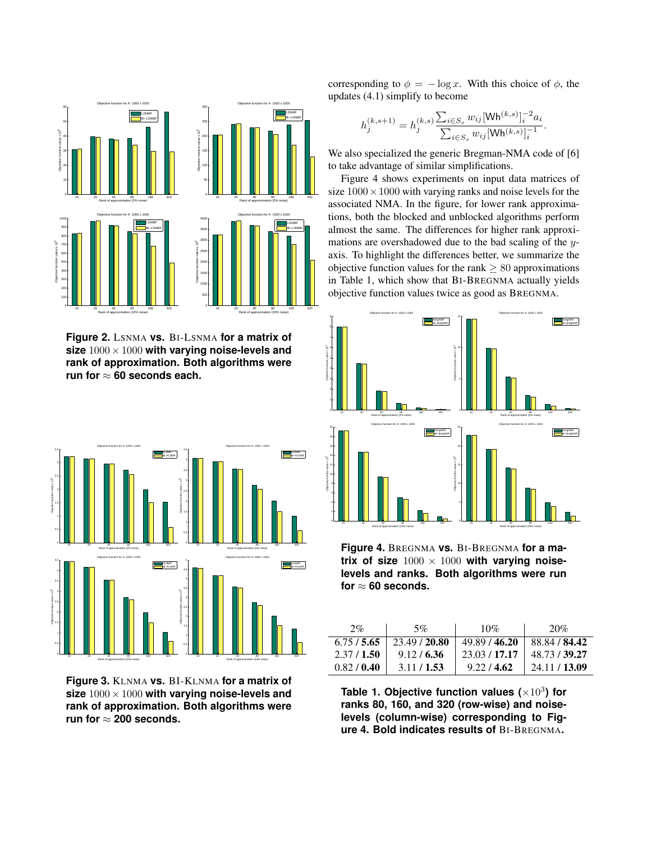

**Figure 2.** LSNMA **vs.** BI-LSNMA **for a matrix of size** 1000× 1000 **with varying noise-levels and rank of approximation. Both algorithms were run for** ≈ **60 seconds each.**



**Figure 3.** KLNMA **vs.** BI-KLNMA **for a matrix of size** 1000× 1000 **with varying noise-levels and rank of approximation. Both algorithms were** run for  $\approx 200$  seconds.

corresponding to  $\phi = -\log x$ . With this choice of  $\phi$ , the updates (4.1) simplify to become

$$
h_j^{(k,s+1)} = h_j^{(k,s)} \frac{\sum_{i \in S_s} w_{ij} [\mathsf{Wh}^{(k,s)}]_i^{-2} a_i}{\sum_{i \in S_s} w_{ij} [\mathsf{Wh}^{(k,s)}]_i^{-1}}.
$$

We also specialized the generic Bregman-NMA code of [6] to take advantage of similar simplifications.

Figure 4 shows experiments on input data matrices of size  $1000 \times 1000$  with varying ranks and noise levels for the associated NMA. In the figure, for lower rank approximations, both the blocked and unblocked algorithms perform almost the same. The differences for higher rank approximations are overshadowed due to the bad scaling of the yaxis. To highlight the differences better, we summarize the objective function values for the rank  $\geq 80$  approximations in Table 1, which show that BI-BREGNMA actually yields objective function values twice as good as BREGNMA.



**Figure 4.** BREGNMA **vs.** BI-BREGNMA **for a ma**trix of size  $1000 \times 1000$  with varying noise**levels and ranks. Both algorithms were run for** ≈ **60 seconds.**

| 2%        | 5%            | 10%           | 20%                       |
|-----------|---------------|---------------|---------------------------|
| 6.75/5.65 | 23.49 / 20.80 | 49.89 / 46.20 | 88.84 / 84.42             |
| 2.37/1.50 | 9.12/6.36     | 23.03 / 17.17 | 48.73 / 39.27             |
| 0.82/0.40 | 3.11/1.53     | 9.22 / 4.62   | $\frac{1}{24.11}$ / 13.09 |

**Table 1. Objective function values (**×10<sup>3</sup> **) for ranks 80, 160, and 320 (row-wise) and noiselevels (column-wise) corresponding to Figure 4. Bold indicates results of** BI-BREGNMA**.**